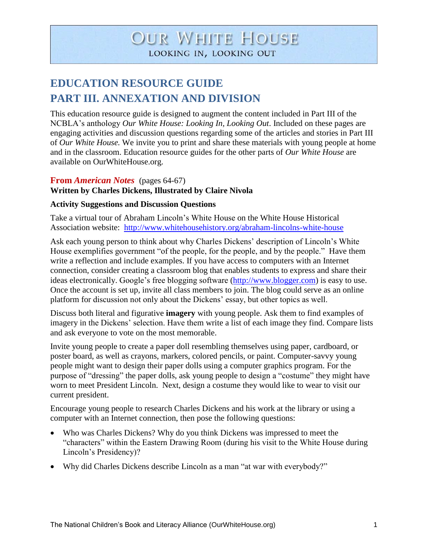# **OUR WHITE HOUSE** LOOKING IN, LOOKING OUT

## **EDUCATION RESOURCE GUIDE PART III. ANNEXATION AND DIVISION**

This education resource guide is designed to augment the content included in Part III of the NCBLA's anthology *Our White House: Looking In, Looking Out*. Included on these pages are engaging activities and discussion questions regarding some of the articles and stories in Part III of *Our White House.* We invite you to print and share these materials with young people at home and in the classroom. Education resource guides for the other parts of *Our White House* are available on OurWhiteHouse.org.

#### **From** *American Notes* (pages 64-67) **Written by Charles Dickens, Illustrated by Claire Nivola**

## **Activity Suggestions and Discussion Questions**

Take a virtual tour of Abraham Lincoln's White House on the White House Historical Association website: <http://www.whitehousehistory.org/abraham-lincolns-white-house>

Ask each young person to think about why Charles Dickens' description of Lincoln's White House exemplifies government "of the people, for the people, and by the people." Have them write a reflection and include examples. If you have access to computers with an Internet connection, consider creating a classroom blog that enables students to express and share their ideas electronically. Google's free blogging software [\(http://www.blogger.com\)](http://www.blogger.com/) is easy to use. Once the account is set up, invite all class members to join. The blog could serve as an online platform for discussion not only about the Dickens' essay, but other topics as well.

Discuss both literal and figurative **imagery** with young people. Ask them to find examples of imagery in the Dickens' selection. Have them write a list of each image they find. Compare lists and ask everyone to vote on the most memorable.

Invite young people to create a paper doll resembling themselves using paper, cardboard, or poster board, as well as crayons, markers, colored pencils, or paint. Computer-savvy young people might want to design their paper dolls using a computer graphics program. For the purpose of "dressing" the paper dolls, ask young people to design a "costume" they might have worn to meet President Lincoln. Next, design a costume they would like to wear to visit our current president.

Encourage young people to research Charles Dickens and his work at the library or using a computer with an Internet connection, then pose the following questions:

- Who was Charles Dickens? Why do you think Dickens was impressed to meet the "characters" within the Eastern Drawing Room (during his visit to the White House during Lincoln's Presidency)?
- Why did Charles Dickens describe Lincoln as a man "at war with everybody?"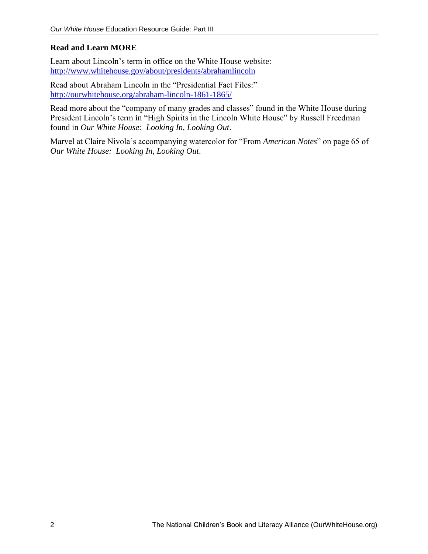## **Read and Learn MORE**

Learn about Lincoln's term in office on the White House website: <http://www.whitehouse.gov/about/presidents/abrahamlincoln>

Read about Abraham Lincoln in the "Presidential Fact Files:" <http://ourwhitehouse.org/abraham-lincoln-1861-1865/>

Read more about the "company of many grades and classes" found in the White House during President Lincoln's term in "High Spirits in the Lincoln White House" by Russell Freedman found in *Our White House: Looking In, Looking Out*.

Marvel at Claire Nivola's accompanying watercolor for "From *American Notes*" on page 65 of *Our White House: Looking In, Looking Out*.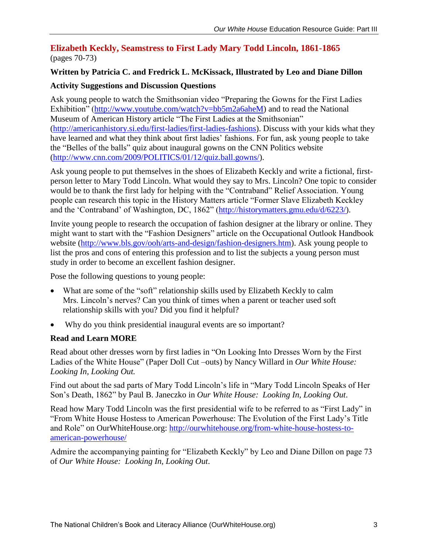## **Elizabeth Keckly, Seamstress to First Lady Mary Todd Lincoln, 1861-1865** (pages 70-73)

## **Written by Patricia C. and Fredrick L. McKissack, Illustrated by Leo and Diane Dillon**

## **Activity Suggestions and Discussion Questions**

Ask young people to watch the Smithsonian video "Preparing the Gowns for the First Ladies Exhibition" [\(http://www.youtube.com/watch?v=bb5m2a6aheM\)](http://www.youtube.com/watch?v=bb5m2a6aheM) and to read the National Museum of American History article "The First Ladies at the Smithsonian" [\(http://americanhistory.si.edu/first-ladies/first-ladies-fashions\)](http://americanhistory.si.edu/first-ladies/first-ladies-fashions). Discuss with your kids what they have learned and what they think about first ladies' fashions. For fun, ask young people to take the "Belles of the balls" quiz about inaugural gowns on the CNN Politics website [\(http://www.cnn.com/2009/POLITICS/01/12/quiz.ball.gowns/\)](http://www.cnn.com/2009/POLITICS/01/12/quiz.ball.gowns/).

Ask young people to put themselves in the shoes of Elizabeth Keckly and write a fictional, firstperson letter to Mary Todd Lincoln. What would they say to Mrs. Lincoln? One topic to consider would be to thank the first lady for helping with the "Contraband" Relief Association. Young people can research this topic in the History Matters article "Former Slave Elizabeth Keckley and the 'Contraband' of Washington, DC, 1862" [\(http://historymatters.gmu.edu/d/6223/\)](http://historymatters.gmu.edu/d/6223/).

Invite young people to research the occupation of fashion designer at the library or online. They might want to start with the "Fashion Designers" article on the Occupational Outlook Handbook website [\(http://www.bls.gov/ooh/arts-and-design/fashion-designers.htm\)](http://www.bls.gov/ooh/arts-and-design/fashion-designers.htm). Ask young people to list the pros and cons of entering this profession and to list the subjects a young person must study in order to become an excellent fashion designer.

Pose the following questions to young people:

- What are some of the "soft" relationship skills used by Elizabeth Keckly to calm Mrs. Lincoln's nerves? Can you think of times when a parent or teacher used soft relationship skills with you? Did you find it helpful?
- Why do you think presidential inaugural events are so important?

## **Read and Learn MORE**

Read about other dresses worn by first ladies in "On Looking Into Dresses Worn by the First Ladies of the White House" (Paper Doll Cut –outs) by Nancy Willard in *Our White House: Looking In, Looking Out.*

Find out about the sad parts of Mary Todd Lincoln's life in "Mary Todd Lincoln Speaks of Her Son's Death, 1862" by Paul B. Janeczko in *Our White House: Looking In, Looking Out*.

Read how Mary Todd Lincoln was the first presidential wife to be referred to as "First Lady" in "From White House Hostess to American Powerhouse: The Evolution of the First Lady's Title and Role" on OurWhiteHouse.org: [http://ourwhitehouse.org/from-white-house-hostess-to](http://ourwhitehouse.org/from-white-house-hostess-to-american-powerhouse/)[american-powerhouse/](http://ourwhitehouse.org/from-white-house-hostess-to-american-powerhouse/)

Admire the accompanying painting for "Elizabeth Keckly" by Leo and Diane Dillon on page 73 of *Our White House: Looking In, Looking Out*.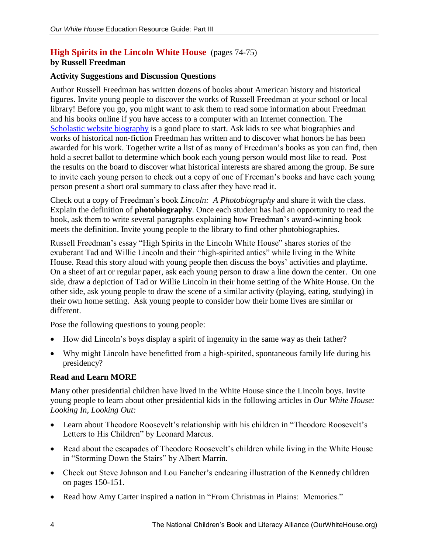## **High Spirits in the Lincoln White House** (pages 74-75)

## **by Russell Freedman**

## **Activity Suggestions and Discussion Questions**

Author Russell Freedman has written dozens of books about American history and historical figures. Invite young people to discover the works of Russell Freedman at your school or local library! Before you go, you might want to ask them to read some information about Freedman and his books online if you have access to a computer with an Internet connection. The [Scholastic website biography](http://www.scholastic.com/teachers/contributor/russell-freedman) is a good place to start. Ask kids to see what biographies and works of historical non-fiction Freedman has written and to discover what honors he has been awarded for his work. Together write a list of as many of Freedman's books as you can find, then hold a secret ballot to determine which book each young person would most like to read. Post the results on the board to discover what historical interests are shared among the group. Be sure to invite each young person to check out a copy of one of Freeman's books and have each young person present a short oral summary to class after they have read it.

Check out a copy of Freedman's book *Lincoln: A Photobiography* and share it with the class. Explain the definition of **photobiography**. Once each student has had an opportunity to read the book, ask them to write several paragraphs explaining how Freedman's award-winning book meets the definition. Invite young people to the library to find other photobiographies.

Russell Freedman's essay "High Spirits in the Lincoln White House" shares stories of the exuberant Tad and Willie Lincoln and their "high-spirited antics" while living in the White House. Read this story aloud with young people then discuss the boys' activities and playtime. On a sheet of art or regular paper, ask each young person to draw a line down the center. On one side, draw a depiction of Tad or Willie Lincoln in their home setting of the White House. On the other side, ask young people to draw the scene of a similar activity (playing, eating, studying) in their own home setting. Ask young people to consider how their home lives are similar or different.

Pose the following questions to young people:

- How did Lincoln's boys display a spirit of ingenuity in the same way as their father?
- Why might Lincoln have benefitted from a high-spirited, spontaneous family life during his presidency?

## **Read and Learn MORE**

Many other presidential children have lived in the White House since the Lincoln boys. Invite young people to learn about other presidential kids in the following articles in *Our White House: Looking In, Looking Out:*

- Learn about Theodore Roosevelt's relationship with his children in "Theodore Roosevelt's Letters to His Children" by Leonard Marcus.
- Read about the escapades of Theodore Roosevelt's children while living in the White House in "Storming Down the Stairs" by Albert Marrin.
- Check out Steve Johnson and Lou Fancher's endearing illustration of the Kennedy children on pages 150-151.
- Read how Amy Carter inspired a nation in "From Christmas in Plains: Memories."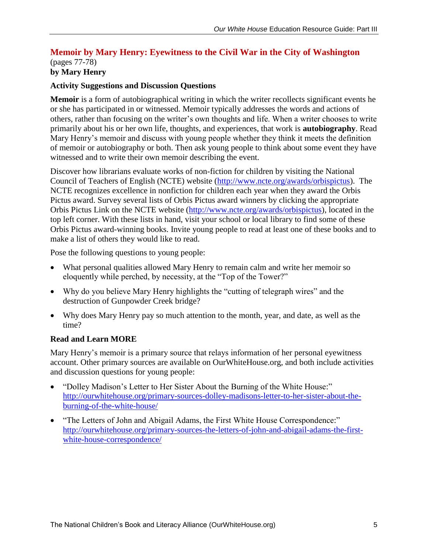#### **Memoir by Mary Henry: Eyewitness to the Civil War in the City of Washington** (pages 77-78) **by Mary Henry**

## **Activity Suggestions and Discussion Questions**

**Memoir** is a form of autobiographical writing in which the writer recollects significant events he or she has participated in or witnessed. Memoir typically addresses the words and actions of others, rather than focusing on the writer's own thoughts and life. When a writer chooses to write primarily about his or her own life, thoughts, and experiences, that work is **autobiography**. Read Mary Henry's memoir and discuss with young people whether they think it meets the definition of memoir or autobiography or both. Then ask young people to think about some event they have witnessed and to write their own memoir describing the event.

Discover how librarians evaluate works of non-fiction for children by visiting the National Council of Teachers of English (NCTE) website [\(http://www.ncte.org/awards/orbispictus\)](http://www.ncte.org/awards/orbispictus). The NCTE recognizes excellence in nonfiction for children each year when they award the Orbis Pictus award. Survey several lists of Orbis Pictus award winners by clicking the appropriate Orbis Pictus Link on the NCTE website [\(http://www.ncte.org/awards/orbispictus\)](http://www.ncte.org/awards/orbispictus), located in the top left corner. With these lists in hand, visit your school or local library to find some of these Orbis Pictus award-winning books. Invite young people to read at least one of these books and to make a list of others they would like to read.

Pose the following questions to young people:

- What personal qualities allowed Mary Henry to remain calm and write her memoir so eloquently while perched, by necessity, at the "Top of the Tower?"
- Why do you believe Mary Henry highlights the "cutting of telegraph wires" and the destruction of Gunpowder Creek bridge?
- Why does Mary Henry pay so much attention to the month, year, and date, as well as the time?

## **Read and Learn MORE**

Mary Henry's memoir is a primary source that relays information of her personal eyewitness account. Other primary sources are available on OurWhiteHouse.org, and both include activities and discussion questions for young people:

- "Dolley Madison's Letter to Her Sister About the Burning of the White House:" [http://ourwhitehouse.org/primary-sources-dolley-madisons-letter-to-her-sister-about-the](http://ourwhitehouse.org/primary-sources-dolley-madisons-letter-to-her-sister-about-the-burning-of-the-white-house/)[burning-of-the-white-house/](http://ourwhitehouse.org/primary-sources-dolley-madisons-letter-to-her-sister-about-the-burning-of-the-white-house/)
- "The Letters of John and Abigail Adams, the First White House Correspondence:" [http://ourwhitehouse.org/primary-sources-the-letters-of-john-and-abigail-adams-the-first](http://ourwhitehouse.org/primary-sources-the-letters-of-john-and-abigail-adams-the-first-white-house-correspondence/)[white-house-correspondence/](http://ourwhitehouse.org/primary-sources-the-letters-of-john-and-abigail-adams-the-first-white-house-correspondence/)